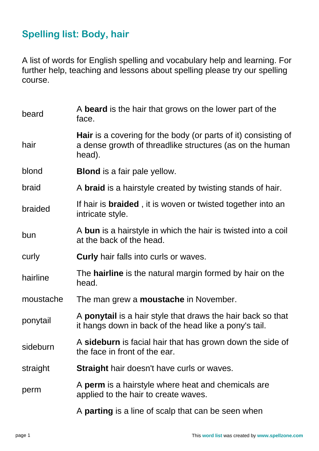## **Spelling list: Body, hair**

A list of words for English spelling and vocabulary help and learning. For further help, teaching and lessons about spelling please try our spelling course.

| beard     | A <b>beard</b> is the hair that grows on the lower part of the<br>face.                                                                     |
|-----------|---------------------------------------------------------------------------------------------------------------------------------------------|
| hair      | <b>Hair</b> is a covering for the body (or parts of it) consisting of<br>a dense growth of threadlike structures (as on the human<br>head). |
| blond     | <b>Blond</b> is a fair pale yellow.                                                                                                         |
| braid     | A <b>braid</b> is a hairstyle created by twisting stands of hair.                                                                           |
| braided   | If hair is <b>braided</b> , it is woven or twisted together into an<br>intricate style.                                                     |
| bun       | A bun is a hairstyle in which the hair is twisted into a coil<br>at the back of the head.                                                   |
| curly     | <b>Curly</b> hair falls into curls or waves.                                                                                                |
| hairline  | The <b>hairline</b> is the natural margin formed by hair on the<br>head.                                                                    |
| moustache | The man grew a <b>moustache</b> in November.                                                                                                |
| ponytail  | A <b>ponytail</b> is a hair style that draws the hair back so that<br>it hangs down in back of the head like a pony's tail.                 |
| sideburn  | A sideburn is facial hair that has grown down the side of<br>the face in front of the ear.                                                  |
| straight  | <b>Straight</b> hair doesn't have curls or waves.                                                                                           |
| perm      | A <b>perm</b> is a hairstyle where heat and chemicals are<br>applied to the hair to create waves.                                           |
|           | A <b>parting</b> is a line of scalp that can be seen when                                                                                   |